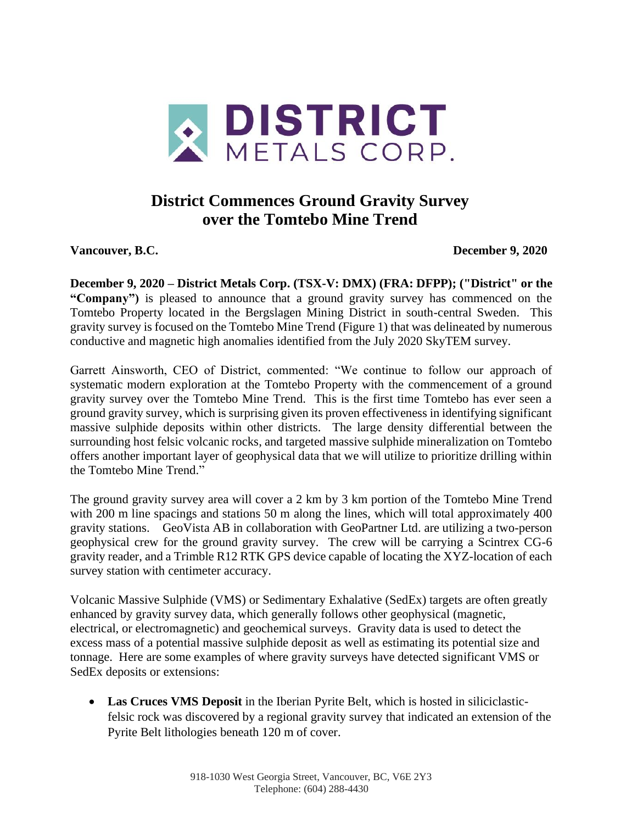

# **District Commences Ground Gravity Survey over the Tomtebo Mine Trend**

**Vancouver, B.C. December 9, 2020**

**December 9, 2020 – District Metals Corp. (TSX-V: DMX) (FRA: DFPP); ("District" or the "Company")** is pleased to announce that a ground gravity survey has commenced on the Tomtebo Property located in the Bergslagen Mining District in south-central Sweden. This gravity survey is focused on the Tomtebo Mine Trend (Figure 1) that was delineated by numerous conductive and magnetic high anomalies identified from the July 2020 SkyTEM survey.

Garrett Ainsworth, CEO of District, commented: "We continue to follow our approach of systematic modern exploration at the Tomtebo Property with the commencement of a ground gravity survey over the Tomtebo Mine Trend. This is the first time Tomtebo has ever seen a ground gravity survey, which is surprising given its proven effectiveness in identifying significant massive sulphide deposits within other districts. The large density differential between the surrounding host felsic volcanic rocks, and targeted massive sulphide mineralization on Tomtebo offers another important layer of geophysical data that we will utilize to prioritize drilling within the Tomtebo Mine Trend."

The ground gravity survey area will cover a 2 km by 3 km portion of the Tomtebo Mine Trend with 200 m line spacings and stations 50 m along the lines, which will total approximately 400 gravity stations. GeoVista AB in collaboration with GeoPartner Ltd. are utilizing a two-person geophysical crew for the ground gravity survey. The crew will be carrying a Scintrex CG-6 gravity reader, and a Trimble R12 RTK GPS device capable of locating the XYZ-location of each survey station with centimeter accuracy.

Volcanic Massive Sulphide (VMS) or Sedimentary Exhalative (SedEx) targets are often greatly enhanced by gravity survey data, which generally follows other geophysical (magnetic, electrical, or electromagnetic) and geochemical surveys. Gravity data is used to detect the excess mass of a potential massive sulphide deposit as well as estimating its potential size and tonnage. Here are some examples of where gravity surveys have detected significant VMS or SedEx deposits or extensions:

• **Las Cruces VMS Deposit** in the Iberian Pyrite Belt, which is hosted in siliciclasticfelsic rock was discovered by a regional gravity survey that indicated an extension of the Pyrite Belt lithologies beneath 120 m of cover.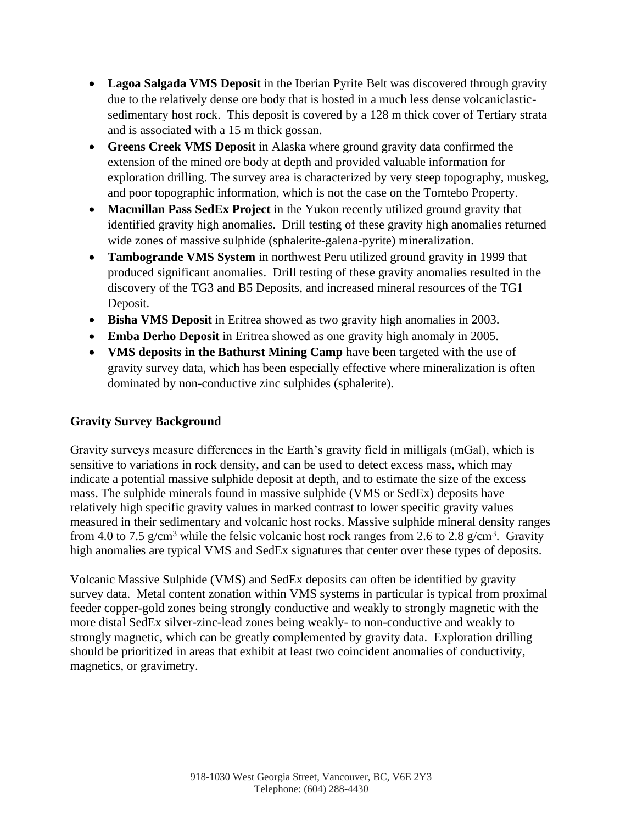- **Lagoa Salgada VMS Deposit** in the Iberian Pyrite Belt was discovered through gravity due to the relatively dense ore body that is hosted in a much less dense volcaniclasticsedimentary host rock. This deposit is covered by a 128 m thick cover of Tertiary strata and is associated with a 15 m thick gossan.
- **Greens Creek VMS Deposit** in Alaska where ground gravity data confirmed the extension of the mined ore body at depth and provided valuable information for exploration drilling. The survey area is characterized by very steep topography, muskeg, and poor topographic information, which is not the case on the Tomtebo Property.
- **Macmillan Pass SedEx Project** in the Yukon recently utilized ground gravity that identified gravity high anomalies. Drill testing of these gravity high anomalies returned wide zones of massive sulphide (sphalerite-galena-pyrite) mineralization.
- **Tambogrande VMS System** in northwest Peru utilized ground gravity in 1999 that produced significant anomalies. Drill testing of these gravity anomalies resulted in the discovery of the TG3 and B5 Deposits, and increased mineral resources of the TG1 Deposit.
- **Bisha VMS Deposit** in Eritrea showed as two gravity high anomalies in 2003.
- **Emba Derho Deposit** in Eritrea showed as one gravity high anomaly in 2005.
- **VMS deposits in the Bathurst Mining Camp** have been targeted with the use of gravity survey data, which has been especially effective where mineralization is often dominated by non-conductive zinc sulphides (sphalerite).

## **Gravity Survey Background**

Gravity surveys measure differences in the Earth's gravity field in milligals (mGal), which is sensitive to variations in rock density, and can be used to detect excess mass, which may indicate a potential massive sulphide deposit at depth, and to estimate the size of the excess mass. The sulphide minerals found in massive sulphide (VMS or SedEx) deposits have relatively high specific gravity values in marked contrast to lower specific gravity values measured in their sedimentary and volcanic host rocks. Massive sulphide mineral density ranges from 4.0 to 7.5 g/cm<sup>3</sup> while the felsic volcanic host rock ranges from 2.6 to 2.8 g/cm<sup>3</sup>. Gravity high anomalies are typical VMS and SedEx signatures that center over these types of deposits.

Volcanic Massive Sulphide (VMS) and SedEx deposits can often be identified by gravity survey data. Metal content zonation within VMS systems in particular is typical from proximal feeder copper-gold zones being strongly conductive and weakly to strongly magnetic with the more distal SedEx silver-zinc-lead zones being weakly- to non-conductive and weakly to strongly magnetic, which can be greatly complemented by gravity data. Exploration drilling should be prioritized in areas that exhibit at least two coincident anomalies of conductivity, magnetics, or gravimetry.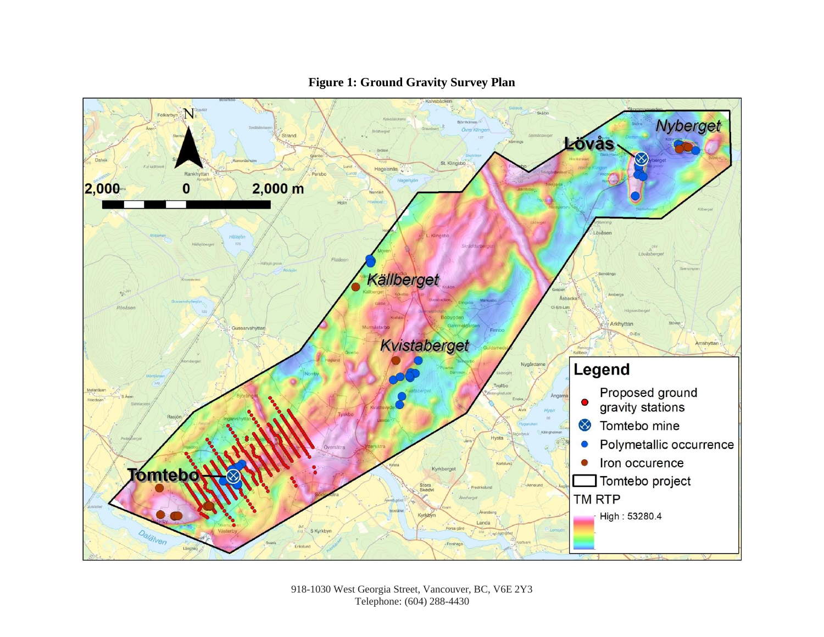

### **Figure 1: Ground Gravity Survey Plan**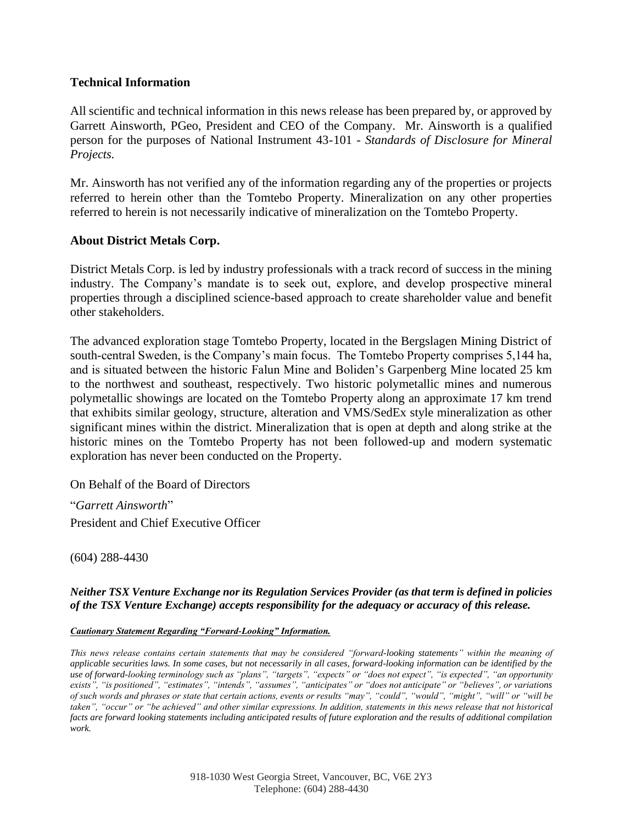#### **Technical Information**

All scientific and technical information in this news release has been prepared by, or approved by Garrett Ainsworth, PGeo, President and CEO of the Company. Mr. Ainsworth is a qualified person for the purposes of National Instrument 43-101 - *Standards of Disclosure for Mineral Projects.*

Mr. Ainsworth has not verified any of the information regarding any of the properties or projects referred to herein other than the Tomtebo Property. Mineralization on any other properties referred to herein is not necessarily indicative of mineralization on the Tomtebo Property.

#### **About District Metals Corp.**

District Metals Corp. is led by industry professionals with a track record of success in the mining industry. The Company's mandate is to seek out, explore, and develop prospective mineral properties through a disciplined science-based approach to create shareholder value and benefit other stakeholders.

The advanced exploration stage Tomtebo Property, located in the Bergslagen Mining District of south-central Sweden, is the Company's main focus. The Tomtebo Property comprises 5,144 ha, and is situated between the historic Falun Mine and Boliden's Garpenberg Mine located 25 km to the northwest and southeast, respectively. Two historic polymetallic mines and numerous polymetallic showings are located on the Tomtebo Property along an approximate 17 km trend that exhibits similar geology, structure, alteration and VMS/SedEx style mineralization as other significant mines within the district. Mineralization that is open at depth and along strike at the historic mines on the Tomtebo Property has not been followed-up and modern systematic exploration has never been conducted on the Property.

On Behalf of the Board of Directors

"*Garrett Ainsworth*" President and Chief Executive Officer

(604) 288-4430

#### *Neither TSX Venture Exchange nor its Regulation Services Provider (as that term is defined in policies of the TSX Venture Exchange) accepts responsibility for the adequacy or accuracy of this release.*

#### *Cautionary Statement Regarding "Forward-Looking" Information.*

*This news release contains certain statements that may be considered "forward-looking statements" within the meaning of applicable securities laws. In some cases, but not necessarily in all cases, forward-looking information can be identified by the use of forward-looking terminology such as "plans", "targets", "expects" or "does not expect", "is expected", "an opportunity exists", "is positioned", "estimates", "intends", "assumes", "anticipates" or "does not anticipate" or "believes", or variations of such words and phrases or state that certain actions, events or results "may", "could", "would", "might", "will" or "will be taken", "occur" or "be achieved" and other similar expressions. In addition, statements in this news release that not historical facts are forward looking statements including anticipated results of future exploration and the results of additional compilation work.*